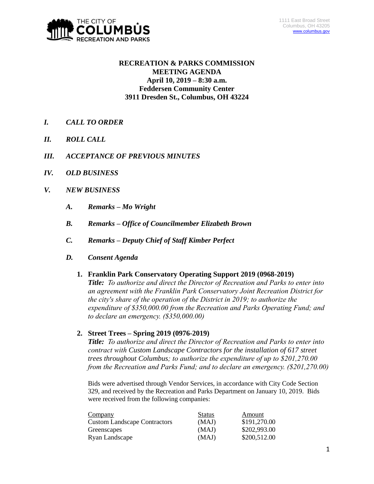

# **RECREATION & PARKS COMMISSION MEETING AGENDA April 10, 2019 – 8:30 a.m. Feddersen Community Center 3911 Dresden St., Columbus, OH 43224**

- *I. CALL TO ORDER*
- *II. ROLL CALL*
- *III. ACCEPTANCE OF PREVIOUS MINUTES*
- *IV. OLD BUSINESS*
- *V. NEW BUSINESS*
	- *A. Remarks – Mo Wright*
	- *B. Remarks – Office of Councilmember Elizabeth Brown*
	- *C. Remarks – Deputy Chief of Staff Kimber Perfect*
	- *D. Consent Agenda* 
		- **1. Franklin Park Conservatory Operating Support 2019 (0968-2019)**

*Title: To authorize and direct the Director of Recreation and Parks to enter into an agreement with the Franklin Park Conservatory Joint Recreation District for the city's share of the operation of the District in 2019; to authorize the expenditure of \$350,000.00 from the Recreation and Parks Operating Fund; and to declare an emergency. (\$350,000.00)*

**2. Street Trees – Spring 2019 (0976-2019)**

*Title: To authorize and direct the Director of Recreation and Parks to enter into contract with Custom Landscape Contractors for the installation of 617 street trees throughout Columbus; to authorize the expenditure of up to \$201,270.00 from the Recreation and Parks Fund; and to declare an emergency. (\$201,270.00)*

Bids were advertised through Vendor Services, in accordance with City Code Section 329, and received by the Recreation and Parks Department on January 10, 2019. Bids were received from the following companies:

| Company                             | <b>Status</b> | Amount       |
|-------------------------------------|---------------|--------------|
| <b>Custom Landscape Contractors</b> | (MAJ)         | \$191,270.00 |
| Greenscapes                         | (MAJ)         | \$202,993.00 |
| Ryan Landscape                      | (MAJ)         | \$200,512.00 |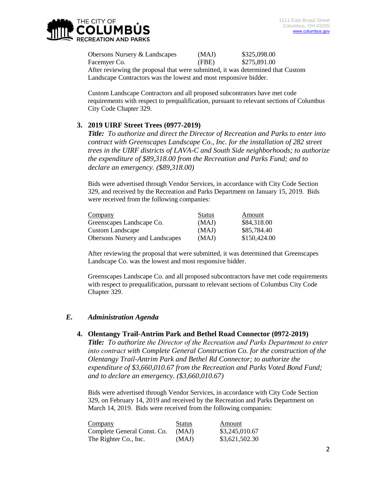

Obersons Nursery & Landscapes (MAJ) \$325,098.00 Facemyer Co. (FBE) \$275,891.00 After reviewing the proposal that were submitted, it was determined that Custom Landscape Contractors was the lowest and most responsive bidder.

Custom Landscape Contractors and all proposed subcontrators have met code requirements with respect to prequalification, pursuant to relevant sections of Columbus City Code Chapter 329.

### **3. 2019 UIRF Street Trees (0977-2019)**

*Title: To authorize and direct the Director of Recreation and Parks to enter into contract with Greenscapes Landscape Co., Inc. for the installation of 282 street trees in the UIRF districts of LAVA-C and South Side neighborhoods; to authorize the expenditure of \$89,318.00 from the Recreation and Parks Fund; and to declare an emergency. (\$89,318.00)*

Bids were advertised through Vendor Services, in accordance with City Code Section 329, and received by the Recreation and Parks Department on January 15, 2019. Bids were received from the following companies:

| Company                                | <b>Status</b> | Amount       |
|----------------------------------------|---------------|--------------|
| Greenscapes Landscape Co.              | (MAJ)         | \$84,318.00  |
| <b>Custom Landscape</b>                | (MAJ)         | \$85,784.40  |
| <b>Obersons Nursery and Landscapes</b> | (MAJ)         | \$150,424.00 |

After reviewing the proposal that were submitted, it was determined that Greenscapes Landscape Co. was the lowest and most responsive bidder.

Greenscapes Landscape Co. and all proposed subcontractors have met code requirements with respect to prequalification, pursuant to relevant sections of Columbus City Code Chapter 329.

#### *E. Administration Agenda*

#### **4. Olentangy Trail-Antrim Park and Bethel Road Connector (0972-2019)**

*Title: To authorize the Director of the Recreation and Parks Department to enter into contract with Complete General Construction Co. for the construction of the Olentangy Trail-Antrim Park and Bethel Rd Connector; to authorize the expenditure of \$3,660,010.67 from the Recreation and Parks Voted Bond Fund; and to declare an emergency. (\$3,660,010.67)*

Bids were advertised through Vendor Services, in accordance with City Code Section 329, on February 14, 2019 and received by the Recreation and Parks Department on March 14, 2019. Bids were received from the following companies:

| Company                     | <b>Status</b> | Amount         |
|-----------------------------|---------------|----------------|
| Complete General Const. Co. | (MAJ)         | \$3,245,010.67 |
| The Righter Co., Inc.       | (MAJ)         | \$3,621,502.30 |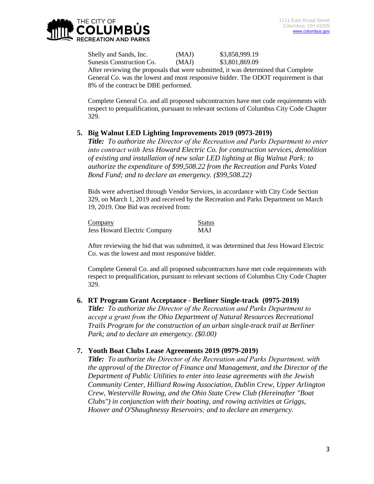Shelly and Sands, Inc. (MAJ) \$3,858,999.19 Sunesis Construction Co. (MAJ) \$3,801,869.09 After reviewing the proposals that were submitted, it was determined that Complete

General Co. was the lowest and most responsive bidder. The ODOT requirement is that 8% of the contract be DBE performed.

Complete General Co. and all proposed subcontractors have met code requirements with respect to prequalification, pursuant to relevant sections of Columbus City Code Chapter 329.

# **5. Big Walnut LED Lighting Improvements 2019 (0973-2019)**

*Title: To authorize the Director of the Recreation and Parks Department to enter into contract with Jess Howard Electric Co. for construction services, demolition of existing and installation of new solar LED lighting at Big Walnut Park; to authorize the expenditure of \$99,508.22 from the Recreation and Parks Voted Bond Fund; and to declare an emergency. (\$99,508.22)*

Bids were advertised through Vendor Services, in accordance with City Code Section 329, on March 1, 2019 and received by the Recreation and Parks Department on March 19, 2019. One Bid was received from:

Company Status Jess Howard Electric Company MAJ

After reviewing the bid that was submitted, it was determined that Jess Howard Electric Co. was the lowest and most responsive bidder.

Complete General Co. and all proposed subcontractors have met code requirements with respect to prequalification, pursuant to relevant sections of Columbus City Code Chapter 329.

# **6. RT Program Grant Acceptance - Berliner Single-track (0975-2019)**

*Title: To authorize the Director of the Recreation and Parks Department to accept a grant from the Ohio Department of Natural Resources Recreational Trails Program for the construction of an urban single-track trail at Berliner Park; and to declare an emergency. (\$0.00)*

### **7. Youth Boat Clubs Lease Agreements 2019 (0979-2019)**

*Title: To authorize the Director of the Recreation and Parks Department, with the approval of the Director of Finance and Management, and the Director of the Department of Public Utilities to enter into lease agreements with the Jewish Community Center, Hilliard Rowing Association, Dublin Crew, Upper Arlington Crew, Westerville Rowing, and the Ohio State Crew Club (Hereinafter "Boat Clubs") in conjunction with their boating, and rowing activities at Griggs, Hoover and O'Shaughnessy Reservoirs; and to declare an emergency.*